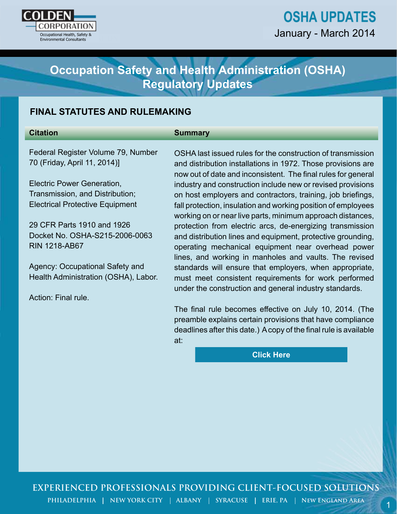

# **OSHA UPDATES** January - March 2014

# **Occupation Safety and Health Administration (OSHA) Regulatory Updates**

# **FINAL STATUTES AND RULEMAKING**

#### **Citation**

#### **Summary**

Federal Register Volume 79, Number 70 (Friday, April 11, 2014)]

Electric Power Generation, Transmission, and Distribution; Electrical Protective Equipment

29 CFR Parts 1910 and 1926 Docket No. OSHA-S215-2006-0063 RIN 1218-AB67

Agency: Occupational Safety and Health Administration (OSHA), Labor.

Action: Final rule.

o compation Safety and Health Administration (OSHA)<br>
Regulatory Updates<br>
NAL STATUTES AND RULEMAKING<br>
summary<br>
lend<br>
lend<br>
NAL STATUTES AND RULEMAKING<br>
summary<br>
lend<br>
lend<br>
lend<br>
can Regulatory Updates<br>
can Health Consult OSHA last issued rules for the construction of transmission and distribution installations in 1972. Those provisions are now out of date and inconsistent. The final rules for general industry and construction include new or revised provisions on host employers and contractors, training, job briefings, fall protection, insulation and working position of employees working on or near live parts, minimum approach distances, protection from electric arcs, de-energizing transmission and distribution lines and equipment, protective grounding, operating mechanical equipment near overhead power lines, and working in manholes and vaults. The revised standards will ensure that employers, when appropriate, must meet consistent requirements for work performed under the construction and general industry standards.

The final rule becomes effective on July 10, 2014. (The preamble explains certain provisions that have compliance deadlines after this date.) A copy of the final rule is available at:

**[Click Here](http://www.gpo.gov/fdsys/pkg/FR-2014-04-11/html/2013-29579.htm)**

# **EXPERIENCED PROFESSIONALS PROVIDING CLIENT-FOCUSED SOLUTIONS**

PHILADELPHIA | NEW YORK CITY | ALBANY | SYRACUSE | ERIE, PA | NEW ENGLAND AREA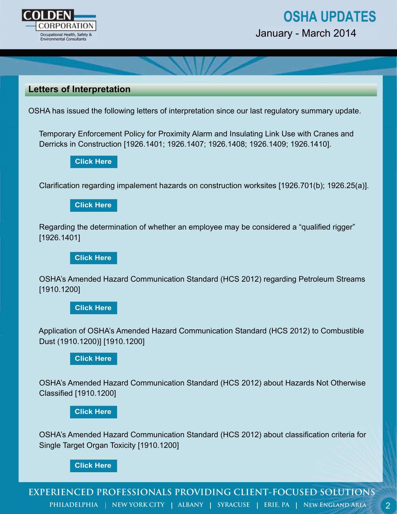

# **OSHA UPDATES**

January - March 2014

# **Letters of Interpretation**

OSHA has issued the following letters of interpretation since our last regulatory summary update.

 Temporary Enforcement Policy for Proximity Alarm and Insulating Link Use with Cranes and Derricks in Construction [1926.1401; 1926.1407; 1926.1408; 1926.1409; 1926.1410].

Clarification regarding impalement hazards on construction worksites [1926.701(b); 1926.25(a)].

#### **[Click Here](https://www.osha.gov/pls/oshaweb/owadisp.show_document?p_table=INTERPRETATIONS&p_id=28880)**

 Regarding the determination of whether an employee may be considered a "qualified rigger" [1926.1401] **[Click Here](https://www.osha.gov/pls/oshaweb/owadisp.show_document?p_table=INTERPRETATIONS&p_id=28880)**<br>In regarding<br>Click Here<br>the detern<br>1]<br>Click Here

 OSHA's Amended Hazard Communication Standard (HCS 2012) regarding Petroleum Streams [1910.1200]

### **[Click Here](https://www.osha.gov/pls/oshaweb/owadisp.show_document?p_table=INTERPRETATIONS&p_id=28943)**

 Application of OSHA's Amended Hazard Communication Standard (HCS 2012) to Combustible Dust (1910.1200)] [1910.1200]

#### **[Click Here](https://www.osha.gov/pls/oshaweb/owadisp.show_document?p_table=INTERPRETATIONS&p_id=28949)**

 OSHA's Amended Hazard Communication Standard (HCS 2012) about Hazards Not Otherwise Classified [1910.1200]

**[Click Here](https://www.osha.gov/pls/oshaweb/owadisp.show_document?p_table=INTERPRETATIONS&p_id=28949)**

 OSHA's Amended Hazard Communication Standard (HCS 2012) about classification criteria for Single Target Organ Toxicity [1910.1200]

#### **[Click Here](https://www.osha.gov/pls/oshaweb/owadisp.show_document?p_table=INTERPRETATIONS&p_id=28940)**

**EXPERIENCED PROFESSIONALS PROVIDING CLIENT-FOCUSED SOLUTIONS** PHILADELPHIA | NEW YORK CITY | ALBANY | SYRACUSE | ERIE, PA | NEW ENGLAND AREA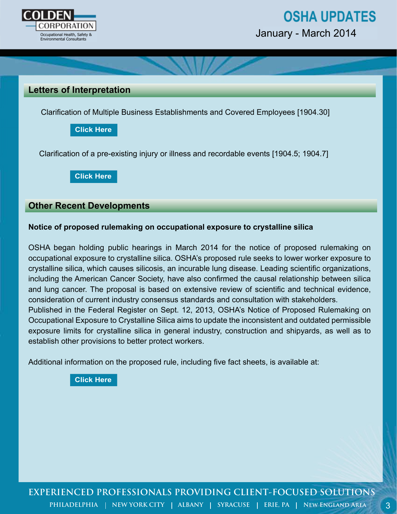

3



January - March 2014

### **Letters of Interpretation**

Clarification of Multiple Business Establishments and Covered Employees [1904.30]

**[Click Here](https://www.osha.gov/pls/oshaweb/owadisp.show_document?p_table=INTERPRETATIONS&p_id=28961)**

Clarification of a pre-existing injury or illness and recordable events [1904.5; 1904.7]

**[Click Here](https://www.osha.gov/pls/oshaweb/owadisp.show_document?p_table=INTERPRETATIONS&p_id=28958)**

### **Other Recent Developments**

#### **Notice of proposed rulemaking on occupational exposure to crystalline silica**

OSHA began holding public hearings in March 2014 for the notice of proposed rulemaking on occupational exposure to crystalline silica. OSHA's proposed rule seeks to lower worker exposure to crystalline silica, which causes silicosis, an incurable lung disease. Leading scientific organizations, including the American Cancer Society, have also confirmed the causal relationship between silica and lung cancer. The proposal is based on extensive review of scientific and technical evidence, consideration of current industry consensus standards and consultation with stakeholders. Published in the Federal Register on Sept. 12, 2013, OSHA's Notice of Proposed Rulemaking on Occupational Exposure to Crystalline Silica aims to update the inconsistent and outdated permissible exposure limits for crystalline silica in general industry, construction and shipyards, as well as to establish other provisions to better protect workers.

Additional information on the proposed rule, including five fact sheets, is available at:

**[Click Here](http://www.osha.gov/silica/)**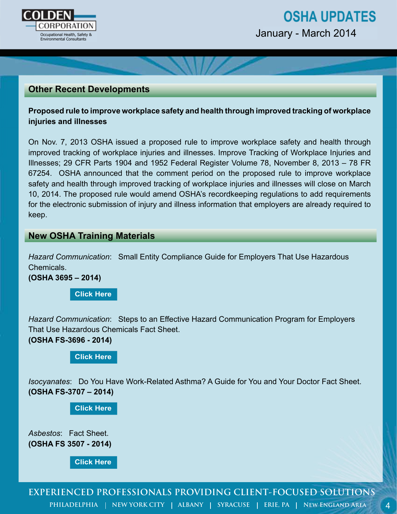

# **Other Recent Developments**

**Proposed rule to improve workplace safety and health through improved tracking of workplace injuries and illnesses**

On Nov. 7, 2013 OSHA issued a proposed rule to improve workplace safety and health through improved tracking of workplace injuries and illnesses. Improve Tracking of Workplace Injuries and Illnesses; 29 CFR Parts 1904 and 1952 Federal Register Volume 78, November 8, 2013 – 78 FR 67254. OSHA announced that the comment period on the proposed rule to improve workplace safety and health through improved tracking of workplace injuries and illnesses will close on March 10, 2014. The proposed rule would amend OSHA's recordkeeping regulations to add requirements for the electronic submission of injury and illness information that employers are already required to keep.

### **New OSHA Training Materials**

*Hazard Communication*: Small Entity Compliance Guide for Employers That Use Hazardous Chemicals.

**(OSHA 3695 – 2014)** 

**[Click Here](https://www.osha.gov/Publications/OSHA3695.pdf)**

*Hazard Communication*: Steps to an Effective Hazard Communication Program for Employers That Use Hazardous Chemicals Fact Sheet.

**(OSHA FS-3696 - 2014)**

#### **[Click Here](https://www.osha.gov/Publications/OSHA3696.pdf)**

*Isocyanates*: Do You Have Work-Related Asthma? A Guide for You and Your Doctor Fact Sheet. **(OSHA FS-3707 – 2014)**

**[Click Here](https://www.osha.gov/Publications/OSHA3707.pdf)**

*Asbestos*: Fact Sheet. **(OSHA FS 3507 - 2014)**

**[Click Here](https://www.osha.gov/Publications/OSHA3507.pdf)**

**PHILADELPHIA | NEW YORK CITY | ALBANY | SYRACUSE | ERIE, PA | NEW ENGLAND AREA**